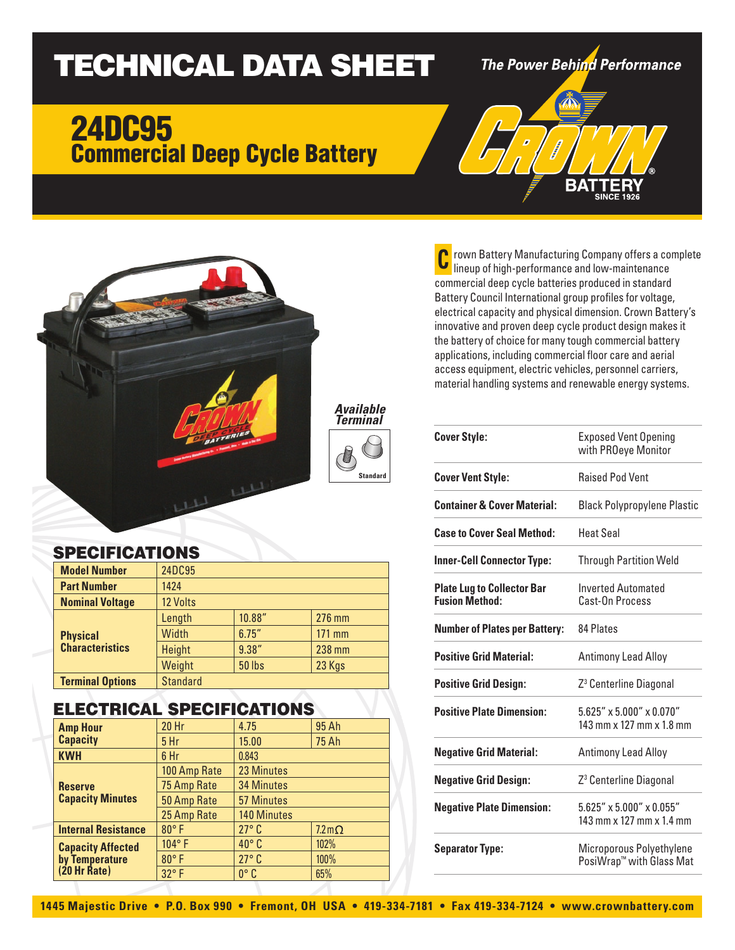# TECHNICAL DATA SHEET

The Power Behind Performance

BΔ

## 24DC95 Commercial Deep Cycle Battery



#### SPECIFICATIONS

| <b>Model Number</b>                       | 24DC95          |               |        |
|-------------------------------------------|-----------------|---------------|--------|
| <b>Part Number</b>                        | 1424            |               |        |
| <b>Nominal Voltage</b>                    | 12 Volts        |               |        |
| <b>Physical</b><br><b>Characteristics</b> | Length          | 10.88"        | 276 mm |
|                                           | Width           | 6.75''        | 171 mm |
|                                           | Height          | 9.38''        | 238 mm |
|                                           | Weight          | <b>50 lbs</b> | 23 Kgs |
| <b>Terminal Options</b>                   | <b>Standard</b> |               |        |

#### ELECTRICAL SPECIFICATIONS

| <b>Amp Hour</b><br><b>Capacity</b>                           | <b>20 Hr</b>    | 4.75               | 95 Ah                    |
|--------------------------------------------------------------|-----------------|--------------------|--------------------------|
|                                                              | 5 <sub>hr</sub> | 15.00              | <b>75 Ah</b>             |
| <b>KWH</b>                                                   | 6 Hr            | 0.843              |                          |
| <b>Reserve</b><br><b>Capacity Minutes</b>                    | 100 Amp Rate    | 23 Minutes         |                          |
|                                                              | 75 Amp Rate     | <b>34 Minutes</b>  |                          |
|                                                              | 50 Amp Rate     | <b>57 Minutes</b>  |                          |
|                                                              | 25 Amp Rate     | <b>140 Minutes</b> |                          |
| <b>Internal Resistance</b>                                   | $80^\circ$ F    | $27^\circ$ C       | $7.2 \,\mathrm{m}\Omega$ |
| <b>Capacity Affected</b><br>by Temperature<br>$(20$ Hr Rate) | 104°F           | $40^{\circ}$ C     | 102%                     |
|                                                              | $80^\circ$ F    | $27^\circ$ C       | 100%                     |
|                                                              | 32°F            | $0^{\circ}$ C      | 65%                      |

rown Battery Manufacturing Company offers a complete lineup of high-performance and low-maintenance commercial deep cycle batteries produced in standard Battery Council International group profiles for voltage, electrical capacity and physical dimension. Crown Battery's innovative and proven deep cycle product design makes it the battery of choice for many tough commercial battery applications, including commercial floor care and aerial access equipment, electric vehicles, personnel carriers, material handling systems and renewable energy systems. **C**

| <b>Cover Style:</b>                                        | <b>Exposed Vent Opening</b><br>with PROeye Monitor                  |  |
|------------------------------------------------------------|---------------------------------------------------------------------|--|
| <b>Cover Vent Style:</b>                                   | <b>Raised Pod Vent</b>                                              |  |
| <b>Container &amp; Cover Material:</b>                     | <b>Black Polypropylene Plastic</b>                                  |  |
| <b>Case to Cover Seal Method:</b>                          | <b>Heat Seal</b>                                                    |  |
| <b>Inner-Cell Connector Type:</b>                          | <b>Through Partition Weld</b>                                       |  |
| <b>Plate Lug to Collector Bar</b><br><b>Fusion Method:</b> | <b>Inverted Automated</b><br>Cast-On Process                        |  |
| <b>Number of Plates per Battery:</b>                       | 84 Plates                                                           |  |
| <b>Positive Grid Material:</b>                             | <b>Antimony Lead Alloy</b>                                          |  |
| <b>Positive Grid Design:</b>                               | Z <sup>3</sup> Centerline Diagonal                                  |  |
| <b>Positive Plate Dimension:</b>                           | $5.625'' \times 5.000'' \times 0.070''$<br>143 mm x 127 mm x 1.8 mm |  |
| <b>Negative Grid Material:</b>                             | <b>Antimony Lead Alloy</b>                                          |  |
| <b>Negative Grid Design:</b>                               | Z <sup>3</sup> Centerline Diagonal                                  |  |
| <b>Negative Plate Dimension:</b>                           | $5.625'' \times 5.000'' \times 0.055''$<br>143 mm x 127 mm x 1.4 mm |  |
| <b>Separator Type:</b>                                     | Microporous Polyethylene<br>PosiWrap <sup>™</sup> with Glass Mat    |  |

**Standard**